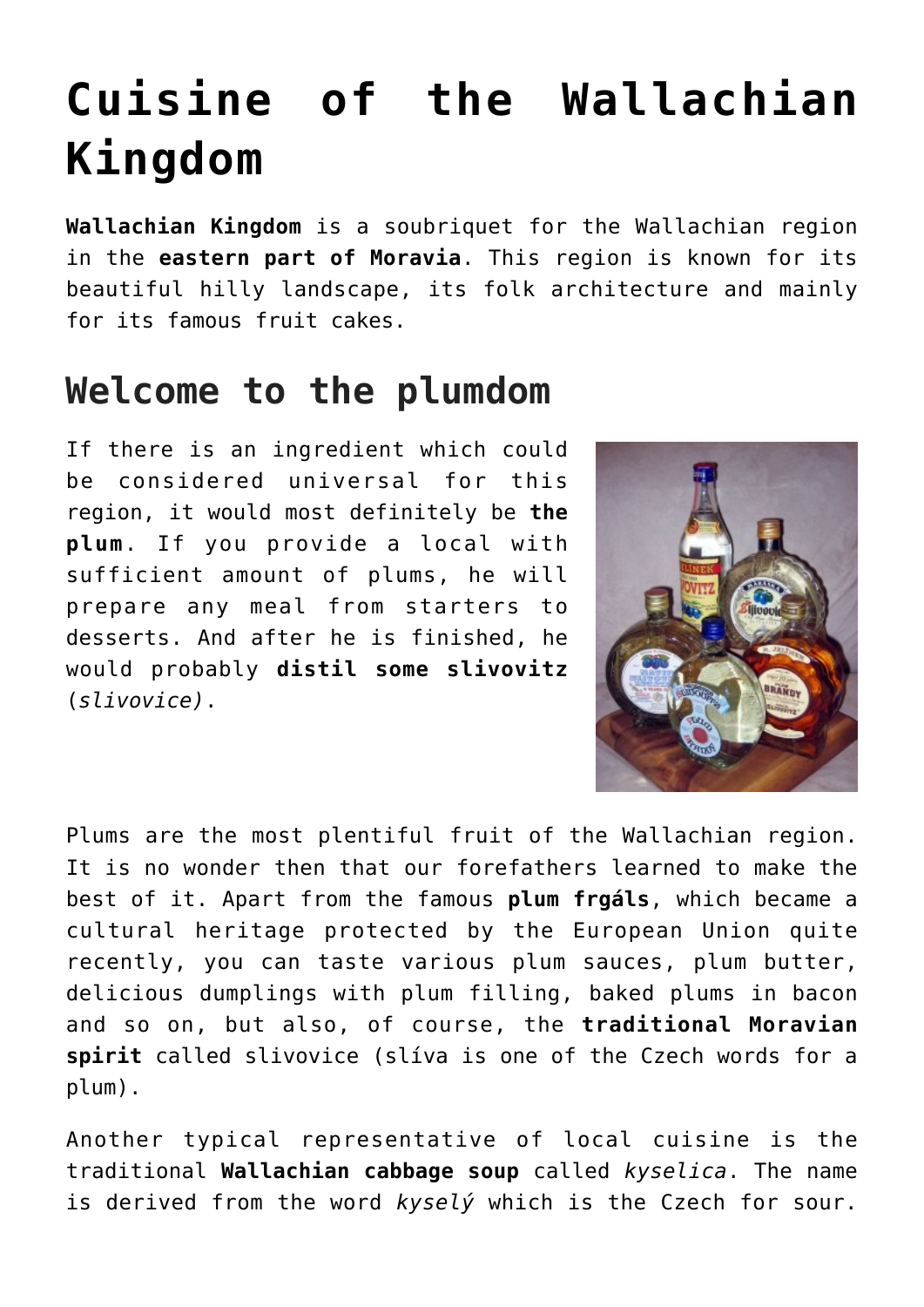## **[Cuisine of the Wallachian](https://www.czechcuisine.net/cuisine-wallachian-kingdom/) [Kingdom](https://www.czechcuisine.net/cuisine-wallachian-kingdom/)**

**Wallachian Kingdom** is a soubriquet for the Wallachian region in the **eastern part of Moravia**. This region is known for its beautiful hilly landscape, its folk architecture and mainly for its famous fruit cakes.

## **Welcome to the plumdom**

If there is an ingredient which could be considered universal for this region, it would most definitely be **the plum**. If you provide a local with sufficient amount of plums, he will prepare any meal from starters to desserts. And after he is finished, he would probably **distil some slivovitz** (*slivovice)*.



Plums are the most plentiful fruit of the Wallachian region. It is no wonder then that our forefathers learned to make the best of it. Apart from the famous **plum frgáls**, which became a cultural heritage protected by the European Union quite recently, you can taste various plum sauces, plum butter, delicious dumplings with plum filling, baked plums in bacon and so on, but also, of course, the **traditional Moravian spirit** called slivovice (slíva is one of the Czech words for a plum).

Another typical representative of local cuisine is the traditional **[Wallachian cabbage soup](http://www.czechcuisine.net/kyselica-wallachian-sauerkraut-soup/)** called *kyselica*. The name is derived from the word *kyselý* which is the Czech for sour.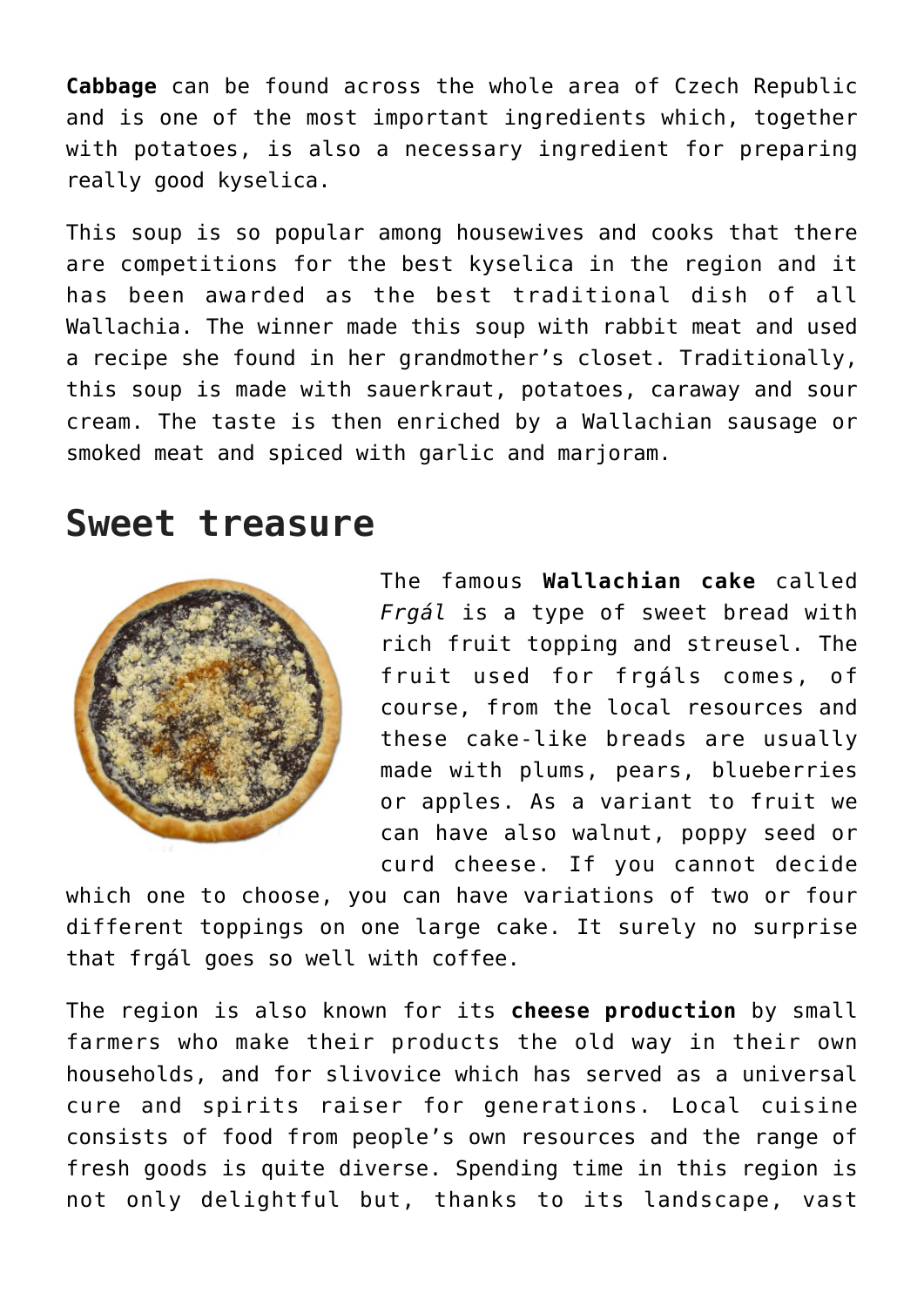**Cabbage** can be found across the whole area of Czech Republic and is one of the most important ingredients which, together with potatoes, is also a necessary ingredient for preparing really good kyselica.

This soup is so popular among housewives and cooks that there are competitions for the best kyselica in the region and it has been awarded as the best traditional dish of all Wallachia. The winner made this soup with rabbit meat and used a recipe she found in her grandmother's closet. Traditionally, this soup is made with sauerkraut, potatoes, caraway and sour cream. The taste is then enriched by a Wallachian sausage or smoked meat and spiced with garlic and marjoram.

## **Sweet treasure**



The famous **Wallachian cake** called *Frgál* is a type of sweet bread with rich fruit topping and streusel. The fruit used for frgáls comes, of course, from the local resources and these cake-like breads are usually made with plums, pears, blueberries or apples. As a variant to fruit we can have also walnut, poppy seed or curd cheese. If you cannot decide

which one to choose, you can have variations of two or four different toppings on one large cake. It surely no surprise that frgál goes so well with coffee.

The region is also known for its **cheese production** by small farmers who make their products the old way in their own households, and for slivovice which has served as a universal cure and spirits raiser for generations. Local cuisine consists of food from people's own resources and the range of fresh goods is quite diverse. Spending time in this region is not only delightful but, thanks to its landscape, vast